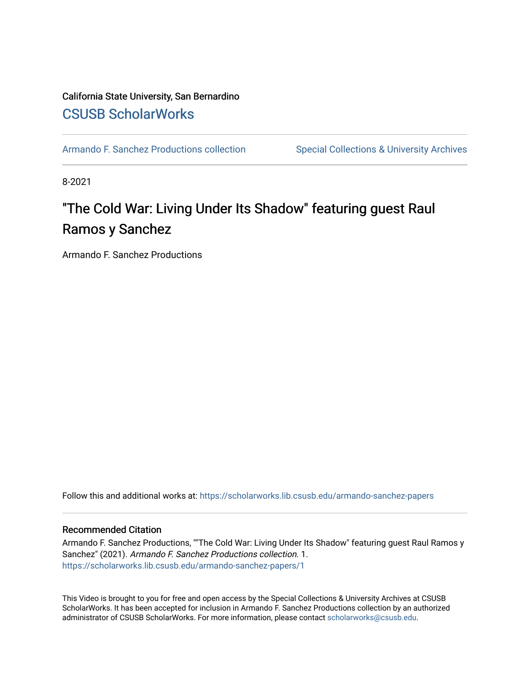### California State University, San Bernardino [CSUSB ScholarWorks](https://scholarworks.lib.csusb.edu/)

[Armando F. Sanchez Productions collection](https://scholarworks.lib.csusb.edu/armando-sanchez-papers) Special Collections & University Archives

8-2021

## "The Cold War: Living Under Its Shadow" featuring guest Raul Ramos y Sanchez

Armando F. Sanchez Productions

Follow this and additional works at: [https://scholarworks.lib.csusb.edu/armando-sanchez-papers](https://scholarworks.lib.csusb.edu/armando-sanchez-papers?utm_source=scholarworks.lib.csusb.edu%2Farmando-sanchez-papers%2F1&utm_medium=PDF&utm_campaign=PDFCoverPages) 

#### Recommended Citation

Armando F. Sanchez Productions, ""The Cold War: Living Under Its Shadow" featuring guest Raul Ramos y Sanchez" (2021). Armando F. Sanchez Productions collection. 1. [https://scholarworks.lib.csusb.edu/armando-sanchez-papers/1](https://scholarworks.lib.csusb.edu/armando-sanchez-papers/1?utm_source=scholarworks.lib.csusb.edu%2Farmando-sanchez-papers%2F1&utm_medium=PDF&utm_campaign=PDFCoverPages)

This Video is brought to you for free and open access by the Special Collections & University Archives at CSUSB ScholarWorks. It has been accepted for inclusion in Armando F. Sanchez Productions collection by an authorized administrator of CSUSB ScholarWorks. For more information, please contact [scholarworks@csusb.edu](mailto:scholarworks@csusb.edu).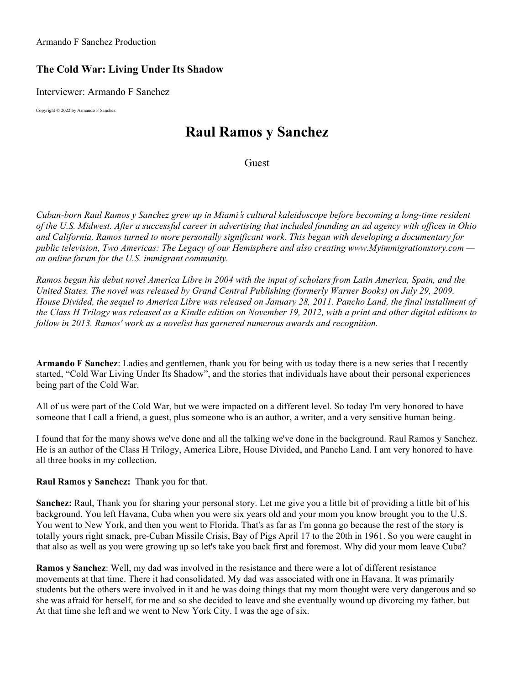Armando F Sanchez Production

## **The Cold War: Living Under Its Shadow**

Interviewer: Armando F Sanchez

Copyright © 2022 by Armando F Sanchez

# **Raul Ramos y Sanchez**

Guest

Cuban-born Raul Ramos y Sanchez grew up in Miami's cultural kaleidoscope before becoming a long-time resident of the U.S. Midwest, After a successful career in advertising that included founding an ad agency with offices in Ohio *and California, Ramos turned to more personally significant work. This began with developing a documentary for public television, Two Americas: The Legacy of our Hemisphere and also creating www.Myimmigrationstory.com an online forum for the U.S. immigrant community.*

Ramos began his debut novel America Libre in 2004 with the input of scholars from Latin America, Spain, and the United States. The novel was released by Grand Central Publishing (formerly Warner Books) on July 29, 2009. House Divided, the sequel to America Libre was released on January 28, 2011. Pancho Land, the final installment of the Class H Trilogy was released as a Kindle edition on November 19, 2012, with a print and other digital editions to *follow in 2013. Ramos' work as a novelist has garnered numerous awards and recognition.*

**Armando F Sanchez**: Ladies and gentlemen, thank you for being with us today there is a new series that I recently started, "Cold War Living Under Its Shadow", and the stories that individuals have about their personal experiences being part of the Cold War.

All of us were part of the Cold War, but we were impacted on a different level. So today I'm very honored to have someone that I call a friend, a guest, plus someone who is an author, a writer, and a very sensitive human being.

I found that for the many shows we've done and all the talking we've done in the background. Raul Ramos y Sanchez. He is an author of the Class H Trilogy, America Libre, House Divided, and Pancho Land. I am very honored to have all three books in my collection.

**Raul Ramos y Sanchez:** Thank you for that.

**Sanchez:** Raul, Thank you for sharing your personal story. Let me give you a little bit of providing a little bit of his background. You left Havana, Cuba when you were six years old and your mom you know brought you to the U.S. You went to New York, and then you went to Florida. That's as far as I'm gonna go because the rest of the story is totally yours right smack, pre-Cuban Missile Crisis, Bay of Pigs April 17 to the 20th in 1961. So you were caught in that also as well as you were growing up so let's take you back first and foremost. Why did your mom leave Cuba?

**Ramos y Sanchez**: Well, my dad was involved in the resistance and there were a lot of different resistance movements at that time. There it had consolidated. My dad was associated with one in Havana. It was primarily students but the others were involved in it and he was doing things that my mom thought were very dangerous and so she was afraid for herself, for me and so she decided to leave and she eventually wound up divorcing my father. but At that time she left and we went to New York City. I was the age of six.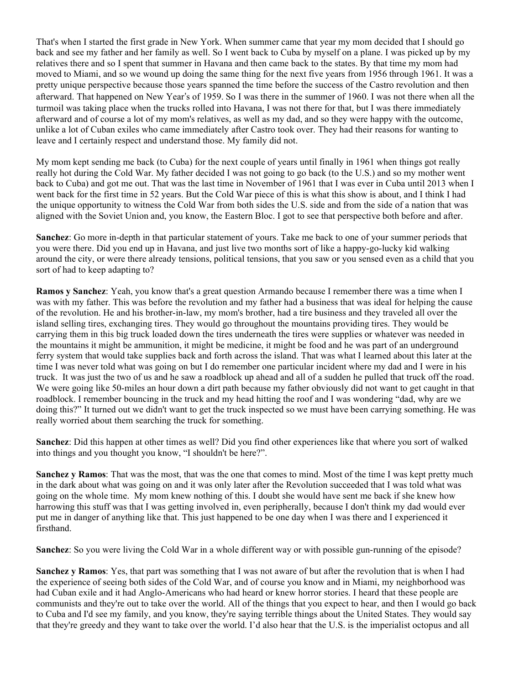That's when I started the first grade in New York. When summer came that year my mom decided that I should go back and see my father and her family as well. So I went back to Cuba by myself on a plane. I was picked up by my relatives there and so I spent that summer in Havana and then came back to the states. By that time my mom had moved to Miami, and so we wound up doing the same thing for the next five years from 1956 through 1961. It was a pretty unique perspective because those years spanned the time before the success of the Castro revolution and then afterward. That happened on New Year's of 1959. So I was there in the summer of 1960. I was not there when all the turmoil was taking place when the trucks rolled into Havana, I was not there for that, but I was there immediately afterward and of course a lot of my mom's relatives, as well as my dad, and so they were happy with the outcome, unlike a lot of Cuban exiles who came immediately after Castro took over. They had their reasons for wanting to leave and I certainly respect and understand those. My family did not.

My mom kept sending me back (to Cuba) for the next couple of years until finally in 1961 when things got really really hot during the Cold War. My father decided I was not going to go back (to the U.S.) and so my mother went back to Cuba) and got me out. That was the last time in November of 1961 that I was ever in Cuba until 2013 when I went back for the first time in 52 years. But the Cold War piece of this is what this show is about, and I think I had the unique opportunity to witness the Cold War from both sides the U.S. side and from the side of a nation that was aligned with the Soviet Union and, you know, the Eastern Bloc. I got to see that perspective both before and after.

**Sanchez**: Go more in-depth in that particular statement of yours. Take me back to one of your summer periods that you were there. Did you end up in Havana, and just live two months sort of like a happy-go-lucky kid walking around the city, or were there already tensions, political tensions, that you saw or you sensed even as a child that you sort of had to keep adapting to?

**Ramos y Sanchez**: Yeah, you know that's a great question Armando because I remember there was a time when I was with my father. This was before the revolution and my father had a business that was ideal for helping the cause of the revolution. He and his brother-in-law, my mom's brother, had a tire business and they traveled all over the island selling tires, exchanging tires. They would go throughout the mountains providing tires. They would be carrying them in this big truck loaded down the tires underneath the tires were supplies or whatever was needed in the mountains it might be ammunition, it might be medicine, it might be food and he was part of an underground ferry system that would take supplies back and forth across the island. That was what I learned about this later at the time I was never told what was going on but I do remember one particular incident where my dad and I were in his truck. It was just the two of us and he saw a roadblock up ahead and all of a sudden he pulled that truck off the road. We were going like 50-miles an hour down a dirt path because my father obviously did not want to get caught in that roadblock. I remember bouncing in the truck and my head hitting the roof and I was wondering "dad, why are we doing this?" It turned out we didn't want to get the truck inspected so we must have been carrying something. He was really worried about them searching the truck for something.

**Sanchez**: Did this happen at other times as well? Did you find other experiences like that where you sort of walked into things and you thought you know, "I shouldn't be here?".

**Sanchez y Ramos**: That was the most, that was the one that comes to mind. Most of the time I was kept pretty much in the dark about what was going on and it was only later after the Revolution succeeded that I was told what was going on the whole time. My mom knew nothing of this. I doubt she would have sent me back if she knew how harrowing this stuff was that I was getting involved in, even peripherally, because I don't think my dad would ever put me in danger of anything like that. This just happened to be one day when I was there and I experienced it firsthand.

**Sanchez**: So you were living the Cold War in a whole different way or with possible gun-running of the episode?

**Sanchez y Ramos**: Yes, that part was something that I was not aware of but after the revolution that is when I had the experience of seeing both sides of the Cold War, and of course you know and in Miami, my neighborhood was had Cuban exile and it had Anglo-Americans who had heard or knew horror stories. I heard that these people are communists and they're out to take over the world. All of the things that you expect to hear, and then I would go back to Cuba and I'd see my family, and you know, they're saying terrible things about the United States. They would say that they're greedy and they want to take over the world. I'd also hear that the U.S. is the imperialist octopus and all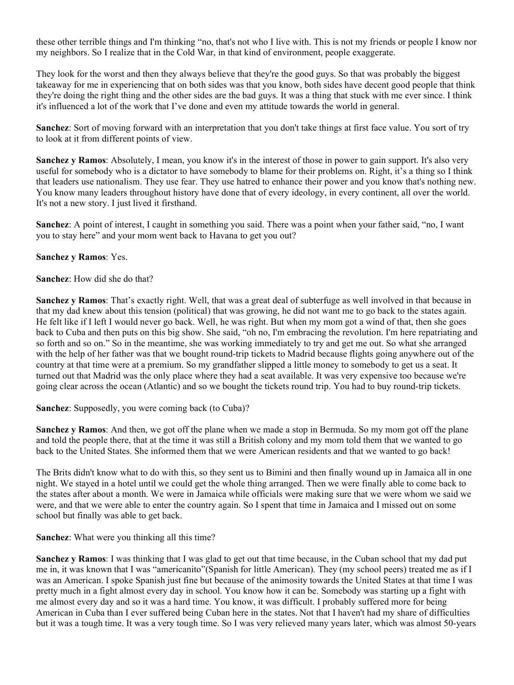these other terrible things and I'm thinking "no, that's not who I live with. This is not my friends or people I know nor my neighbors. So I realize that in the Cold War, in that kind of environment, people exaggerate.

They look for the worst and then they always believe that they're the good guys. So that was probably the biggest takeaway for me in experiencing that on both sides was that you know, both sides have decent good people that think they're doing the right thing and the other sides are the bad guys. It was a thing that stuck with me ever since. I think it's influenced a lot of the work that I've done and even my attitude towards the world in general.

**Sanchez**: Sort of moving forward with an interpretation that you don't take things at first face value. You sort of try to look at it from different points of view.

**Sanchez y Ramos**: Absolutely, I mean, you know it's in the interest of those in power to gain support. It's also very useful for somebody who is a dictator to have somebody to blame for their problems on. Right, it's a thing so I think that leaders use nationalism. They use fear. They use hatred to enhance their power and you know that's nothing new. You know many leaders throughout history have done that of every ideology, in every continent, all over the world. It's not a new story. I just lived it firsthand.

**Sanchez**: A point of interest, I caught in something you said. There was a point when your father said, "no, I want you to stay here" and your mom went back to Havana to get you out?

### **Sanchez y Ramos**: Yes.

### **Sanchez**: How did she do that?

**Sanchez y Ramos**: That's exactly right. Well, that was a great deal of subterfuge as well involved in that because in that my dad knew about this tension (political) that was growing, he did not want me to go back to the states again. He felt like if I left I would never go back. Well, he was right. But when my mom got a wind of that, then she goes back to Cuba and then puts on this big show. She said, "oh no, I'm embracing the revolution. I'm here repatriating and so forth and so on." So in the meantime, she was working immediately to try and get me out. So what she arranged with the help of her father was that we bought round-trip tickets to Madrid because flights going anywhere out of the country at that time were at a premium. So my grandfather slipped a little money to somebody to get us a seat. It turned out that Madrid was the only place where they had a seat available. It was very expensive too because we're going clear across the ocean (Atlantic) and so we bought the tickets round trip. You had to buy round-trip tickets.

**Sanchez**: Supposedly, you were coming back (to Cuba)?

**Sanchez y Ramos**: And then, we got off the plane when we made a stop in Bermuda. So my mom got off the plane and told the people there, that at the time it was still a British colony and my mom told them that we wanted to go back to the United States. She informed them that we were American residents and that we wanted to go back!

The Brits didn't know what to do with this, so they sent us to Bimini and then finally wound up in Jamaica all in one night. We stayed in a hotel until we could get the whole thing arranged. Then we were finally able to come back to the states after about a month. We were in Jamaica while officials were making sure that we were whom we said we were, and that we were able to enter the country again. So I spent that time in Jamaica and I missed out on some school but finally was able to get back.

### **Sanchez**: What were you thinking all this time?

**Sanchez y Ramos**: I was thinking that I was glad to get out that time because, in the Cuban school that my dad put me in, it was known that I was "americanito"(Spanish for little American). They (my school peers) treated me as if I was an American. I spoke Spanish just fine but because of the animosity towards the United States at that time I was pretty much in a fight almost every day in school. You know how it can be. Somebody was starting up a fight with me almost every day and so it was a hard time. You know, it was difficult. I probably suffered more for being American in Cuba than I ever suffered being Cuban here in the states. Not that I haven't had my share of difficulties but it was a tough time. It was a very tough time. So I was very relieved many years later, which was almost 50-years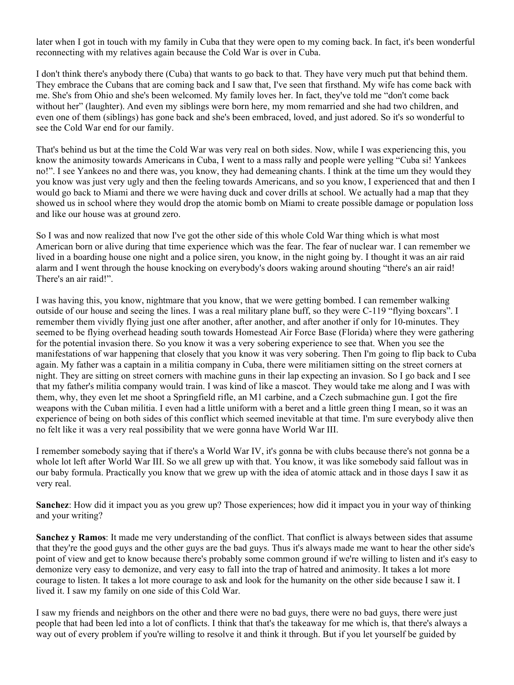later when I got in touch with my family in Cuba that they were open to my coming back. In fact, it's been wonderful reconnecting with my relatives again because the Cold War is over in Cuba.

I don't think there's anybody there (Cuba) that wants to go back to that. They have very much put that behind them. They embrace the Cubans that are coming back and I saw that, I've seen that firsthand. My wife has come back with me. She's from Ohio and she's been welcomed. My family loves her. In fact, they've told me "don't come back without her" (laughter). And even my siblings were born here, my mom remarried and she had two children, and even one of them (siblings) has gone back and she's been embraced, loved, and just adored. So it's so wonderful to see the Cold War end for our family.

That's behind us but at the time the Cold War was very real on both sides. Now, while I was experiencing this, you know the animosity towards Americans in Cuba, I went to a mass rally and people were yelling "Cuba si! Yankees no!". I see Yankees no and there was, you know, they had demeaning chants. I think at the time um they would they you know was just very ugly and then the feeling towards Americans, and so you know, I experienced that and then I would go back to Miami and there we were having duck and cover drills at school. We actually had a map that they showed us in school where they would drop the atomic bomb on Miami to create possible damage or population loss and like our house was at ground zero.

So I was and now realized that now I've got the other side of this whole Cold War thing which is what most American born or alive during that time experience which was the fear. The fear of nuclear war. I can remember we lived in a boarding house one night and a police siren, you know, in the night going by. I thought it was an air raid alarm and I went through the house knocking on everybody's doors waking around shouting "there's an air raid! There's an air raid!".

I was having this, you know, nightmare that you know, that we were getting bombed. I can remember walking outside of our house and seeing the lines. I was a real military plane buff, so they were C-119 "flying boxcars". I remember them vividly flying just one after another, after another, and after another if only for 10-minutes. They seemed to be flying overhead heading south towards Homestead Air Force Base (Florida) where they were gathering for the potential invasion there. So you know it was a very sobering experience to see that. When you see the manifestations of war happening that closely that you know it was very sobering. Then I'm going to flip back to Cuba again. My father was a captain in a militia company in Cuba, there were militiamen sitting on the street corners at night. They are sitting on street corners with machine guns in their lap expecting an invasion. So I go back and I see that my father's militia company would train. I was kind of like a mascot. They would take me along and I was with them, why, they even let me shoot a Springfield rifle, an M1 carbine, and a Czech submachine gun. I got the fire weapons with the Cuban militia. I even had a little uniform with a beret and a little green thing I mean, so it was an experience of being on both sides of this conflict which seemed inevitable at that time. I'm sure everybody alive then no felt like it was a very real possibility that we were gonna have World War III.

I remember somebody saying that if there's a World War IV, it's gonna be with clubs because there's not gonna be a whole lot left after World War III. So we all grew up with that. You know, it was like somebody said fallout was in our baby formula. Practically you know that we grew up with the idea of atomic attack and in those days I saw it as very real.

**Sanchez**: How did it impact you as you grew up? Those experiences; how did it impact you in your way of thinking and your writing?

**Sanchez y Ramos**: It made me very understanding of the conflict. That conflict is always between sides that assume that they're the good guys and the other guys are the bad guys. Thus it's always made me want to hear the other side's point of view and get to know because there's probably some common ground if we're willing to listen and it's easy to demonize very easy to demonize, and very easy to fall into the trap of hatred and animosity. It takes a lot more courage to listen. It takes a lot more courage to ask and look for the humanity on the other side because I saw it. I lived it. I saw my family on one side of this Cold War.

I saw my friends and neighbors on the other and there were no bad guys, there were no bad guys, there were just people that had been led into a lot of conflicts. I think that that's the takeaway for me which is, that there's always a way out of every problem if you're willing to resolve it and think it through. But if you let yourself be guided by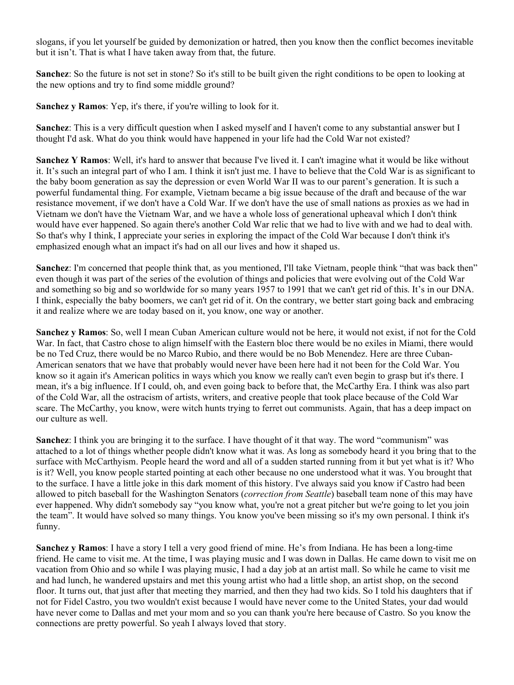slogans, if you let yourself be guided by demonization or hatred, then you know then the conflict becomes inevitable but it isn't. That is what I have taken away from that, the future.

**Sanchez**: So the future is not set in stone? So it's still to be built given the right conditions to be open to looking at the new options and try to find some middle ground?

**Sanchez y Ramos**: Yep, it's there, if you're willing to look for it.

**Sanchez**: This is a very difficult question when I asked myself and I haven't come to any substantial answer but I thought I'd ask. What do you think would have happened in your life had the Cold War not existed?

**Sanchez Y Ramos**: Well, it's hard to answer that because I've lived it. I can't imagine what it would be like without it. It's such an integral part of who I am. I think it isn't just me. I have to believe that the Cold War is as significant to the baby boom generation as say the depression or even World War II was to our parent's generation. It is such a powerful fundamental thing. For example, Vietnam became a big issue because of the draft and because of the war resistance movement, if we don't have a Cold War. If we don't have the use of small nations as proxies as we had in Vietnam we don't have the Vietnam War, and we have a whole loss of generational upheaval which I don't think would have ever happened. So again there's another Cold War relic that we had to live with and we had to deal with. So that's why I think, I appreciate your series in exploring the impact of the Cold War because I don't think it's emphasized enough what an impact it's had on all our lives and how it shaped us.

**Sanchez**: I'm concerned that people think that, as you mentioned, I'll take Vietnam, people think "that was back then" even though it was part of the series of the evolution of things and policies that were evolving out of the Cold War and something so big and so worldwide for so many years 1957 to 1991 that we can't get rid of this. It's in our DNA. I think, especially the baby boomers, we can't get rid of it. On the contrary, we better start going back and embracing it and realize where we are today based on it, you know, one way or another.

**Sanchez y Ramos**: So, well I mean Cuban American culture would not be here, it would not exist, if not for the Cold War. In fact, that Castro chose to align himself with the Eastern bloc there would be no exiles in Miami, there would be no Ted Cruz, there would be no Marco Rubio, and there would be no Bob Menendez. Here are three Cuban-American senators that we have that probably would never have been here had it not been for the Cold War. You know so it again it's American politics in ways which you know we really can't even begin to grasp but it's there. I mean, it's a big influence. If I could, oh, and even going back to before that, the McCarthy Era. I think was also part of the Cold War, all the ostracism of artists, writers, and creative people that took place because of the Cold War scare. The McCarthy, you know, were witch hunts trying to ferret out communists. Again, that has a deep impact on our culture as well.

**Sanchez**: I think you are bringing it to the surface. I have thought of it that way. The word "communism" was attached to a lot of things whether people didn't know what it was. As long as somebody heard it you bring that to the surface with McCarthyism. People heard the word and all of a sudden started running from it but yet what is it? Who is it? Well, you know people started pointing at each other because no one understood what it was. You brought that to the surface. I have a little joke in this dark moment of this history. I've always said you know if Castro had been allowed to pitch baseball for the Washington Senators (*correction from Seattle*) baseball team none of this may have ever happened. Why didn't somebody say "you know what, you're not a great pitcher but we're going to let you join the team". It would have solved so many things. You know you've been missing so it's my own personal. I think it's funny.

**Sanchez y Ramos**: I have a story I tell a very good friend of mine. He's from Indiana. He has been a long-time friend. He came to visit me. At the time, I was playing music and I was down in Dallas. He came down to visit me on vacation from Ohio and so while I was playing music, I had a day job at an artist mall. So while he came to visit me and had lunch, he wandered upstairs and met this young artist who had a little shop, an artist shop, on the second floor. It turns out, that just after that meeting they married, and then they had two kids. So I told his daughters that if not for Fidel Castro, you two wouldn't exist because I would have never come to the United States, your dad would have never come to Dallas and met your mom and so you can thank you're here because of Castro. So you know the connections are pretty powerful. So yeah I always loved that story.